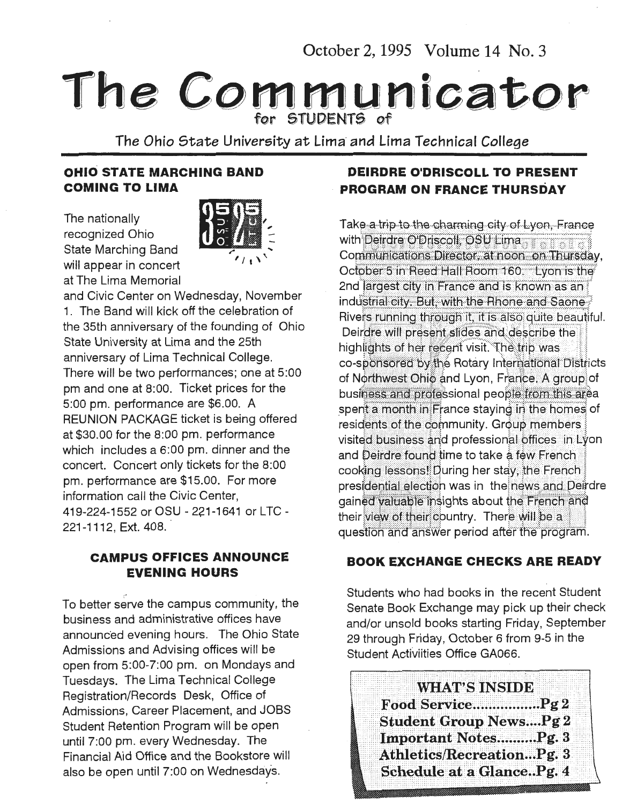October 2, 1995 Volume 14 No. 3

# The Communicator

The Ohio State University at Lima and Lima Technical College

#### **OHIO STATE MARCHING BAND COMING TO LIMA**

The nationally recognized Ohio State Marching Band will appear in concert at The Lima Memorial



and Civic Center on Wednesday, November 1. The Band will kick off the celebration of the 35th anniversary of the founding of Ohio State University at Lima and the 25th anniversary of Lima Technical College. There will be two performances; one at 5:00 pm and one at 8:00. Ticket prices for the 5:00 pm. performance are \$6.00. A REUNION PACKAGE ticket is being offered at \$30.00 for the 8:00 pm. performance which includes a 6:00 pm. dinner and the concert. Concert only tickets for the 8:00 pm. performance are \$15.00. For more information call the Civic Center, 419-224-1552 or OSU - 221-1641 or LTC - 221-1112, Ext. 408.

#### **CAMPUS OFFICES ANNOUNCE EVENING HOURS**

To better serve the campus community, the business and administrative offices have announced evening hours. The Ohio State Admissions and Advising offices will be open from 5:00-7:00 pm. on Mondays and Tuesdays. The Lima Technical College Registration/Records Desk, Office of Admissions, Career Placement, and JOBS Student Retention Program will be open until 7:00 pm. every Wednesday. The Financial Aid Office and the Bookstore will also be open until 7:00 on Wednesdays.

#### **DEIRDRE O'DRISCOLL TO PRESENT PROGRAM ON FRANCE THURSDAY**

Take a trip to the charming city of Lyon. France with Deirdre O'Driscoll, OSU Lima Communications Director, at noon on Thursday, October 5 in Reed Hall Room 160. Lyon is the 2nd largest city in France and is known as an industrial city. But, with the Rhone and Saone Rivers running through it, it is also quite beautiful. Deirdre will present slides and describe the highlights of her recent visit. The trip was co-sponsored by the Rotary International Districts of Northwest Ohio and Lyon, France, A group of business and professional people from this area spent a month in France staving in the homes of residents of the community. Group members visited business and professional offices in Lyon and Deirdre found time to take a few French cooking lessons! During her stay, the French presidential election was in the news and Deirdre gained valuable insights about the French and their view of their country. There will be a question and answer period after the program.

#### **BOOK EXCHANGE CHECKS ARE READY**

Students who had books in the recent Student Senate Book Exchange may pick up their check and/or unsold books starting Friday, September 29 through Friday, October 6 from 9-5 in the Student Activiities Office GA066.

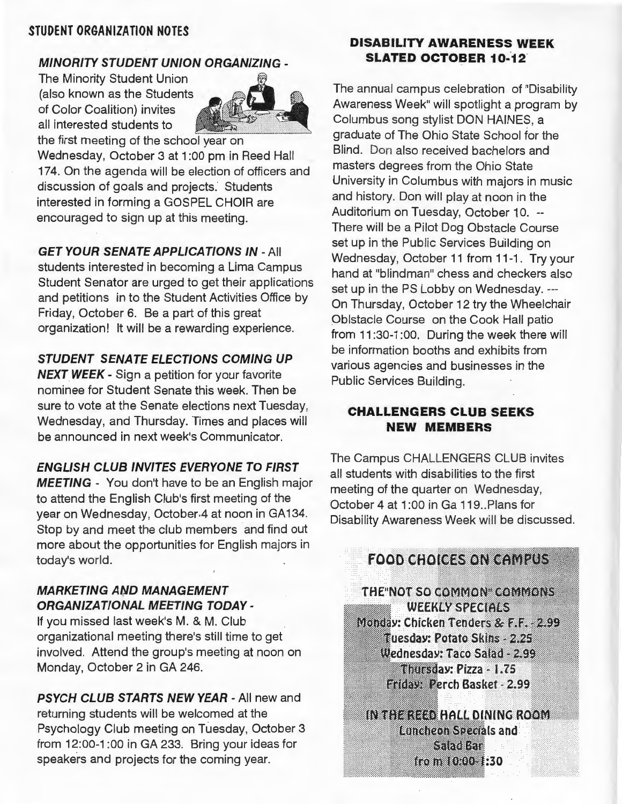#### STUDENT ORGANIZATION NOTES

#### MINORITY STUDENT UNION ORGANIZING -

The Minority Student Union (also known as the Students of Color Coalition) invites all interested students to



the first meeting of the school year on Wednesday, October 3 at 1 :OO pm in Reed Hall 174. On the agenda will be election of officers and discussion of goals and projects. Students interested in forming a GOSPEL CHOIR are encouraged to sign up at this meeting.

**GET YOUR SENATE APPLICATIONS IN - All** students interested in becoming a Lima Campus Student Senator are urged to get their applications and petitions in to the Student Activities Office by Friday, October 6. Be a part of this great organization! It will be a rewarding experience.

#### STUDENT SENATE ELECTIONS COMING UP

**NEXT WEEK - Sign a petition for your favorite** nominee for Student Senate this week. Then be sure to vote at the Senate elections next Tuesday, Wednesday, and Thursday. Times and places will be announced in next week's Communicator.

#### ENGLISH CLUB INVITES EVERYONE TO FIRST

MEETING - You don't have to be an English major to attend the English Club's first meeting of the year on Wednesday, October 4 at noon in GA134. Stop by and meet the club members and find out more about the opportunities for English majors in today's world.

#### **MARKETING AND MANAGEMENT** ORGANIZATIONAL MEETING TODAY-

If you missed last week's M. & M. Club organizational meeting there's still time to get involved. Attend the group's meeting at noon on Monday, October 2 in GA 246.

PSYCH CLUB STARTS NEW YEAR - All new and returning students will be welcomed at the Psychology Club meeting on Tuesday, October 3 from 12:00-1 :OO in GA 233. Bring your ideas for speakers and projects for the coming year.

#### DISABILITY AWARENESS WEEK SLATED OCTOBER 10-12

The annual campus celebration of "Disability Awareness Week" will spotlight a program by Columbus song stylist DON HAINES, a graduate of The Ohio State School for the Blind. Don also received bachelors and masters degrees from the Ohio State University in Columbus with majors in music and history. Don will play at noon in the Auditorium on Tuesday, October 10. -- There will be a Pilot Dog Obstacle Course set up in the Public Services Building on Wednesday, October 11 from 11-1. Try your hand at "blindman" chess and checkers also set up in the PS Lobby on Wednesday. --- On Thursday, October 12 try the Wheelchair Oblstacle Course on the Cook Hall patio from 11:30-1:00. During the week there will be information booths and exhibits from various agencies and businesses in the Public Services Building.

#### CHALLENGERS CLUB SEEKS NEW MEMBERS

The Campus CHALLENGERS CLUB invites all students with disabilities to the first meeting of the quarter on Wednesday, October 4 at 1:00 in Ga 119. Plans for Disability Awareness Week will be discussed.

#### **FOOD CHOICES ON CAMPUS**

THE NOT SO COMMON COMMONS **WEEKLY SPECIALS** Monday: Chicken Tenders & F.F. - 2.99 Tuesday: Potato Skins - 2.25 Wednesday: Taco Salad - 2.99 Thursday: Pizza - 1.75 **Eriday: Perch Basket - 2.99** 

IN THE REED HALL DINING ROOM **Luncheon Specials and** Saadkan from 10:00-1:30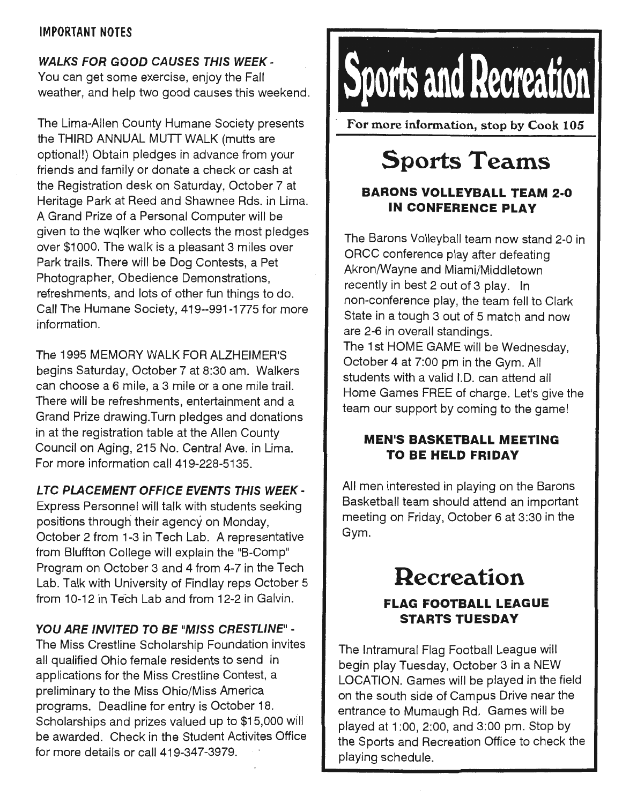#### IMPORTANT NOTES

#### WALKS FOR GOOD CAUSES THIS WEEK -

You can get some exercise, enjoy the Fall weather, and help two good causes this weekend.

The Lima-Allen County Humane Society presents the THIRD ANNUAL MUTT WALK (mutts are optional!) Obtain pledges in advance from your friends and family or donate a check or cash at the Registration desk on Saturday, October 7 at Heritage Park at Reed and Shawnee Rds. in Lima. A Grand Prize of a Personal Computer will be given to the wqlker who collects the most pledges over \$1000. The walk is a pleasant 3 miles over Park trails. There will be Dog Contests, a Pet Photographer, Obedience Demonstrations, refreshments, and lots of other fun things to do. Call The Humane Society, 419--991-1775 for more information.

The 1995 MEMORY WALK FOR ALZHEIMER'S begins Saturday, October 7 at 8:30 am. Walkers can choose a 6 mile, a 3 mile or a one mile trail. There will be refreshments, entertainment and a Grand Prize drawing.Turn pledges and donations in at the registration table at the Allen County Council on Aging, 215 No. Central Ave. in Lima. For more information call 419-228-5135.

#### LTC PLACEMENT OFFICE EVENTS THIS WEEK -

Express Personnel will talk with students seeking positions through their agency on Monday, October 2 from 1-3 in Tech Lab. A representative from Bluffton College will explain the "B-Comp" Program on October 3 and 4 from 4-7 in the Tech Lab. Talk with University of Findlay reps October 5 from 10-12 in Tech Lab and from 12-2 in Galvin.

#### YOU ARE INVITED TO BE "MISS CRESTLINE" -

The Miss Crestline Scholarship Foundation invites all qualified Ohio female residents to send in applications for the Miss Crestline Contest, a preliminary to the Miss Ohio/Miss America programs. Deadline for entry is October 18. Scholarships and prizes valued up to \$15,000 will be awarded. Check in the Student Activites Office for more details or call 419-347-3979.



For more information, stop by Cook 105

## **Sports Teams**

#### **BARONS VOLLEYBALL TEAM** 2·0 **IN CONFERENCE PLAY**

The Barons Volleyball team now stand 2-0 in ORCC conference play after defeating Akron/Wayne and Miami/Middletown recently in best 2 out of 3 play. In non-conference play, the team fell to Clark State in a tough 3 out of 5 match and now are 2-6 in overall standings. The 1st HOME GAME will be Wednesday, October 4 at 7:00 pm in the Gym. All students with a valid l.D. can attend all Home Games FREE of charge. Let's give the team our support by coming to the game!

#### **MEN'S BASKETBALL MEETING TO BE HELD FRIDAY**

All men interested in playing on the Barons Basketball team should attend an important meeting on Friday, October 6 at 3:30 in the Gym.

### **Recreation FLAG FOOTBALL LEAGUE STARTS TUESDAY**

The Intramural Flag Football League will begin play Tuesday, October 3 in a NEW LOCATION. Games will be played in the field on the south side of Campus Drive near the entrance to Mumaugh Rd. Games will be played at 1 :OO, 2:00, and 3:00 pm. Stop by the Sports and Recreation Office to check the playing schedule.